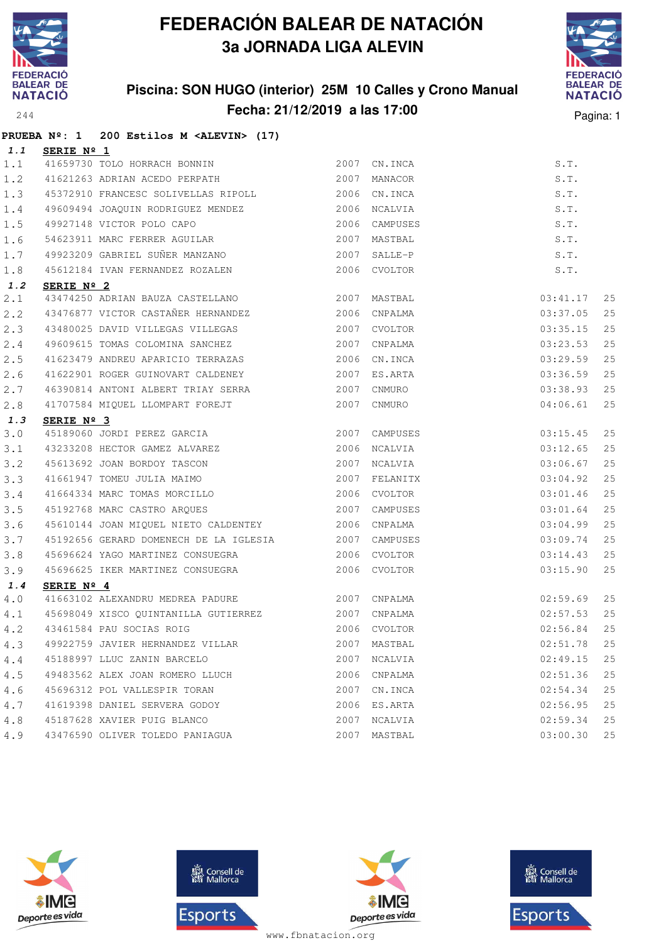

**PRUEBA Nº: 1 200 Estilos M <ALEVIN> (17)**

# **FEDERACIÓN BALEAR DE NATACIÓN 3a JORNADA LIGA ALEVIN**

### **Piscina: SON HUGO (interior) 25M 10 Calles y Crono Manual Fecha: 21/12/2019 a las 17:00** Pagina: 1



| 1.1 | SERIE $N^{\circ}$ 1                                                              |      |               |               |    |
|-----|----------------------------------------------------------------------------------|------|---------------|---------------|----|
| 1.1 | 3ERIE N- 1<br>41659730 TOLO HORRACH BONNIN                                       | 2007 | CN.INCA       | S.T.          |    |
| 1.2 | 41621263 ADRIAN ACEDO PERPATH                                                    | 2007 | MANACOR       | S.T.          |    |
| 1.3 | 45372910 FRANCESC SOLIVELLAS RIPOLL 2006 CN.INCA                                 |      |               | S.T.          |    |
| 1.4 | 49609494 JOAQUIN RODRIGUEZ MENDEZ                                                |      | 2006 NCALVIA  | S.T.          |    |
| 1.5 | 49927148 VICTOR POLO CAPO                                                        | 2006 | CAMPUSES      | S.T.          |    |
| 1.6 | 54623911 MARC FERRER AGUILAR                                                     | 2007 | MASTBAL       | S.T.          |    |
| 1.7 | 49923209 GABRIEL SUÑER MANZANO                                                   | 2007 | SALLE-P       | S.T.          |    |
| 1.8 | 45612184 IVAN FERNANDEZ ROZALEN                                                  |      | 2006 CVOLTOR  | S.T.          |    |
| 1.2 | SERIE Nº 2                                                                       |      |               |               |    |
| 2.1 | 43474250 ADRIAN BAUZA CASTELLANO 2007                                            |      | MASTBAL       | 03:41.17      | 25 |
| 2.2 | 43476877 VICTOR CASTAÑER HERNANDEZ 2006                                          |      | CNPALMA       | 03:37.05      | 25 |
| 2.3 | 43480025 DAVID VILLEGAS VILLEGAS                                                 |      | 2007 CVOLTOR  | 03:35.15      | 25 |
| 2.4 | 49609615 TOMAS COLOMINA SANCHEZ                                                  | 2007 | CNPALMA       | 03:23.53      | 25 |
| 2.5 | 41623479 ANDREU APARICIO TERRAZAS                                                | 2006 | CN.INCA       | 03:29.59      | 25 |
| 2.6 | 41622901 ROGER GUINOVART CALDENEY                                                | 2007 | ES.ARTA       | 03:36.59      | 25 |
| 2.7 | 46390814 ANTONI ALBERT TRIAY SERRA                                               | 2007 | CNMURO        | 03:38.93      | 25 |
| 2.8 | 41707584 MIQUEL LLOMPART FOREJT                                                  | 2007 | CNMURO        | 04:06.61      | 25 |
| 1.3 | SERIE Nº 3                                                                       |      |               |               |    |
| 3.0 | 45189060 JORDI PEREZ GARCIA                                                      | 2007 | CAMPUSES      | 03:15.45      | 25 |
| 3.1 | 43233208 HECTOR GAMEZ ALVAREZ                                                    | 2006 | NCALVIA       | 03:12.65      | 25 |
| 3.2 |                                                                                  |      | 2007 NCALVIA  | 03:06.67      | 25 |
| 3.3 | 45613692 JOAN BORDOY TASCON<br>41661947 TOMEU JULIA MAIMO<br>41664334 MARG TOWER |      | 2007 FELANITX | 03:04.92      | 25 |
| 3.4 | 41664334 MARC TOMAS MORCILLO                                                     | 2006 | CVOLTOR       | 03:01.46      | 25 |
| 3.5 | 45192768 MARC CASTRO ARQUES                                                      | 2007 | CAMPUSES      | 03:01.64      | 25 |
| 3.6 | 45610144 JOAN MIQUEL NIETO CALDENTEY                                             |      | 2006 CNPALMA  | 03:04.99      | 25 |
| 3.7 | 45192656 GERARD DOMENECH DE LA IGLESIA 2007                                      |      | CAMPUSES      | 03:09.74      | 25 |
| 3.8 | 45696624 YAGO MARTINEZ CONSUEGRA 6 2006 CVOLTOR                                  |      |               | 03:14.43      | 25 |
| 3.9 | 45696625 IKER MARTINEZ CONSUEGRA                                                 |      | 2006 CVOLTOR  | 03:15.90      | 25 |
| 1.4 | SERIE $N^{\circ}$ 4                                                              |      |               |               |    |
| 4.0 | 41663102 ALEXANDRU MEDREA PADURE 2007 CNPALMA                                    |      |               | 02:59.69      | 25 |
| 4.1 | 45698049 XISCO QUINTANILLA GUTIERREZ 2007 CNPALMA                                |      |               | 02:57.53      | 25 |
| 4.2 | 2006 CVOLTOR<br>43461584 PAU SOCIAS ROIG                                         |      |               | 02:56.84      | 25 |
|     | 4.3 49922759 JAVIER HERNANDEZ VILLAR 2007 MASTBAL                                |      |               | $02:51.78$ 25 |    |
| 4.4 | 45188997 LLUC ZANIN BARCELO                                                      |      | 2007 NCALVIA  | 02:49.15      | 25 |
| 4.5 | 49483562 ALEX JOAN ROMERO LLUCH                                                  |      | 2006 CNPALMA  | 02:51.36      | 25 |
| 4.6 | 45696312 POL VALLESPIR TORAN                                                     | 2007 | CN.INCA       | 02:54.34      | 25 |
| 4.7 | 41619398 DANIEL SERVERA GODOY                                                    |      | 2006 ES.ARTA  | 02:56.95      | 25 |
| 4.8 | 45187628 XAVIER PUIG BLANCO                                                      | 2007 | NCALVIA       | 02:59.34      | 25 |
| 4.9 | 43476590 OLIVER TOLEDO PANIAGUA                                                  | 2007 | MASTBAL       | 03:00.30      | 25 |







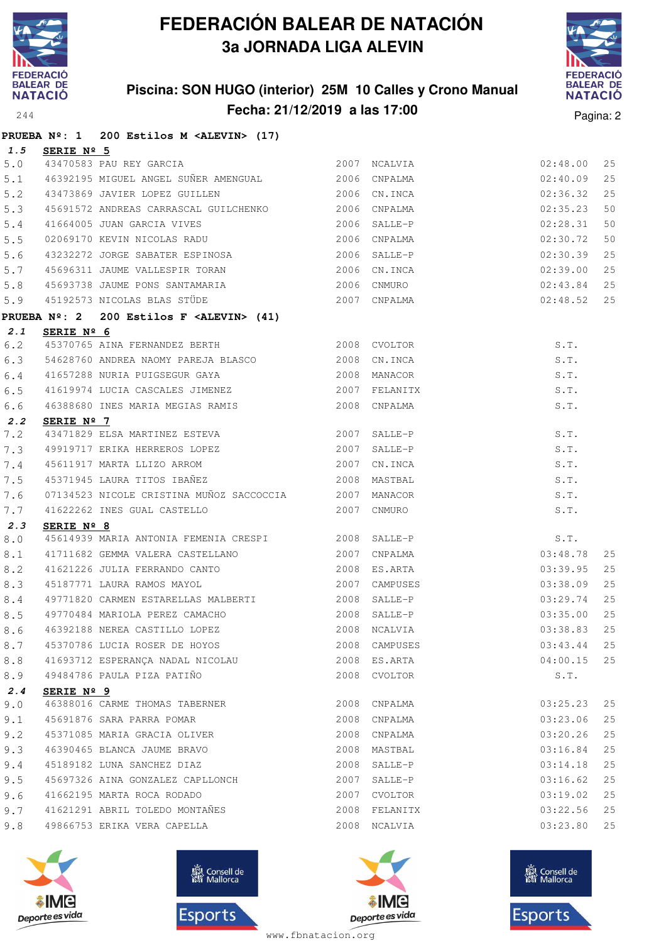

### **Piscina: SON HUGO (interior) 25M 10 Calles y Crono Manual Fecha: 21/12/2019 a las 17:00** Pagina: 2



|            |                     | PRUEBA Nº: 1 200 Estilos M <alevin> (17)</alevin>                                                                                     |             |               |              |    |
|------------|---------------------|---------------------------------------------------------------------------------------------------------------------------------------|-------------|---------------|--------------|----|
| 1.5        | SERIE Nº 5          |                                                                                                                                       |             |               |              |    |
| $5.0$      |                     | 2007 NCALVIA<br>43470583 PAU REY GARCIA                                                                                               |             |               | 02:48.00     | 25 |
| 5.1        |                     | 46392195 MIGUEL ANGEL SUÑER AMENGUAL 2006 CNPALMA                                                                                     |             |               | 02:40.09     | 25 |
| 5.2        |                     | 2006 CN. INCA<br>43473869 JAVIER LOPEZ GUILLEN                                                                                        |             |               | 02:36.32     | 25 |
| 5.3        |                     | 45691572 ANDREAS CARRASCAL GUILCHENKO 2006 CNPALMA                                                                                    |             |               | 02:35.23     | 50 |
| $5.4$      |                     |                                                                                                                                       |             |               | 02:28.31     | 50 |
| 5.5        |                     |                                                                                                                                       |             |               | 02:30.72     | 50 |
| 5.6        |                     | 43232272 JORGE SABATER ESPINOSA 2006 SALLE-P                                                                                          |             |               | 02:30.39     | 25 |
| 5.7        |                     | 95696311 JAUME VALLESPIR TORAN 2006 CN.INCA<br>15693738 JAUME PONS SANTAMARIA 2006 CNMURO<br>15192573 NICOLAS BLAS STÜDE 2007 CNPALMA |             |               | 02:39.00     | 25 |
| $5.8\,$    |                     |                                                                                                                                       |             |               | 02:43.84     | 25 |
| 5.9        |                     |                                                                                                                                       |             |               | 02:48.52     | 25 |
|            |                     | PRUEBA Nº: 2 200 Estilos F <alevin> (41)</alevin>                                                                                     |             |               |              |    |
| 2.1        | SERIE Nº 6          |                                                                                                                                       |             |               |              |    |
| 6.2        |                     | 45370765 AINA FERNANDEZ BERTH 2008 CVOLTOR                                                                                            |             |               | S.T.         |    |
| 6.3        |                     | 54628760 ANDREA NAOMY PAREJA BLASCO 2008 CN.INCA                                                                                      |             |               | S.T.         |    |
| 6.4        |                     | 41657288 NURIA PUIGSEGUR GAYA 2008 MANACOR                                                                                            |             |               | S.T.         |    |
| 6.5        |                     | 41619974 LUCIA CASCALES JIMENEZ 2007 FELANITX                                                                                         |             |               | S.T.         |    |
| 6.6        |                     |                                                                                                                                       |             |               | S.T.         |    |
| 2.2        | SERIE Nº 7          | 43471829 ELSA MARTINEZ ESTEVA 2007 SALLE-P                                                                                            |             |               |              |    |
| 7.2        |                     | 49919717 ERIKA HERREROS LOPEZ 2007 SALLE-P                                                                                            |             |               | S.T.<br>S.T. |    |
| 7.3<br>7.4 |                     |                                                                                                                                       |             |               | S.T.         |    |
| 7.5        |                     | 19919717 ENTRI HERRICA 2012<br>19611917 MARTA LLIZO ARROM 2007 CN.INCA<br>19871945 LAURA TITOS IBAÑEZ 2008 MASTBAL                    |             |               | S.T.         |    |
| 7.6        |                     | 07134523 NICOLE CRISTINA MUÑOZ SACCOCCIA 2007 MANACOR                                                                                 |             |               | S.T.         |    |
| 7.7        |                     | 41622262 INES GUAL CASTELLO                                                                                                           | 2007 CNMURO |               | S.T.         |    |
| 2.3        | SERIE $N^{\circ}$ 8 |                                                                                                                                       |             |               |              |    |
| 8.0        |                     | 45614939 MARIA ANTONIA FEMENIA CRESPI 2008 SALLE-P                                                                                    |             |               | S.T.         |    |
| $8.1\,$    |                     |                                                                                                                                       |             |               | 03:48.78     | 25 |
| 8.2        |                     | 41621226 JULIA FERRANDO CANTO 2008 ES.ARTA                                                                                            |             |               | 03:39.95     | 25 |
| 8.3        |                     |                                                                                                                                       |             | 2007 CAMPUSES | 03:38.09     | 25 |
| 8.4        |                     | 45187771 LAURA RAMOS MAYOL 2007 CAMPUSES<br>49771820 CARMEN ESTARELLAS MALBERTI 2008 SALLE-P                                          |             |               | 03:29.74     | 25 |
| 8.5        |                     |                                                                                                                                       |             |               | 03:35.00     | 25 |
| 8.6        |                     | 46392188 NEREA CASTILLO LOPEZ 2008 NCALVIA 2008 NOMES 2008 NO                                                                         |             |               |              |    |
| 8.7        |                     | 45370786 LUCIA ROSER DE HOYOS                                                                                                         |             | 2008 CAMPUSES | 03:43.44     | 25 |
| 8.8        |                     | 41693712 ESPERANÇA NADAL NICOLAU                                                                                                      |             | 2008 ES.ARTA  | 04:00.15     | 25 |
| 8.9        |                     | 49484786 PAULA PIZA PATIÑO                                                                                                            |             | 2008 CVOLTOR  | S.T.         |    |
| 2.4        | SERIE Nº 9          |                                                                                                                                       |             |               |              |    |
| 9.0        |                     | 46388016 CARME THOMAS TABERNER                                                                                                        |             | 2008 CNPALMA  | 03:25.23     | 25 |
| 9.1        |                     | 45691876 SARA PARRA POMAR                                                                                                             |             | 2008 CNPALMA  | 03:23.06     | 25 |
| 9.2        |                     | 45371085 MARIA GRACIA OLIVER                                                                                                          |             | 2008 CNPALMA  | 03:20.26     | 25 |
| 9.3        |                     | 46390465 BLANCA JAUME BRAVO                                                                                                           |             | 2008 MASTBAL  | 03:16.84     | 25 |
| 9.4        |                     | 45189182 LUNA SANCHEZ DIAZ                                                                                                            |             | 2008 SALLE-P  | 03:14.18     | 25 |
| 9.5        |                     | 45697326 AINA GONZALEZ CAPLLONCH                                                                                                      |             | 2007 SALLE-P  | 03:16.62     | 25 |
| 9.6        |                     | 41662195 MARTA ROCA RODADO                                                                                                            |             | 2007 CVOLTOR  | 03:19.02     | 25 |
| 9.7        |                     | 41621291 ABRIL TOLEDO MONTAÑES                                                                                                        |             | 2008 FELANITX | 03:22.56     | 25 |
| 9.8        |                     | 49866753 ERIKA VERA CAPELLA                                                                                                           |             | 2008 NCALVIA  | 03:23.80     | 25 |







**感** Consell de Esports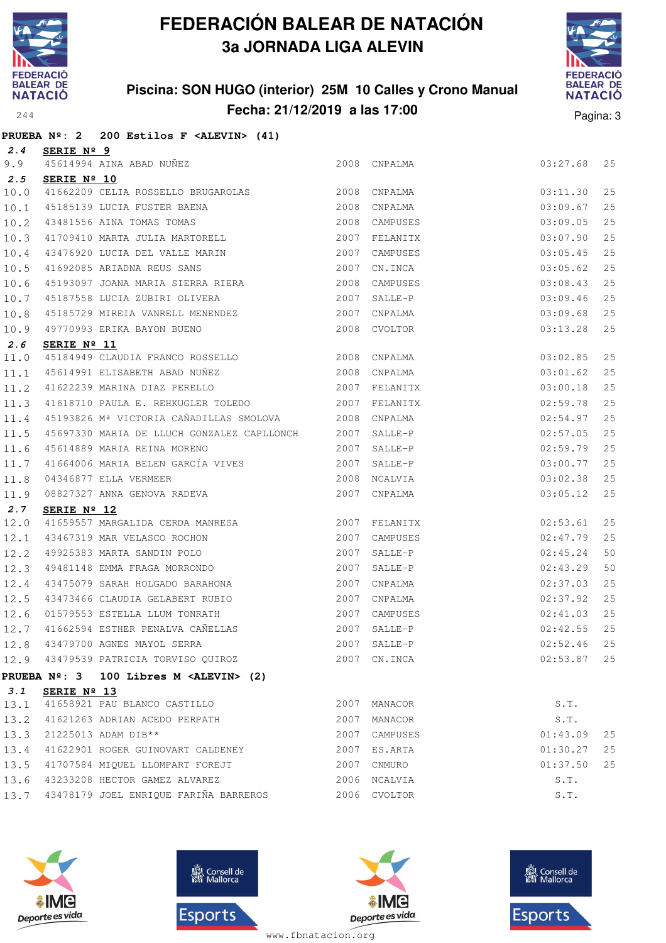

#### **Piscina: SON HUGO (interior) 25M 10 Calles y Crono Manual Fecha: 21/12/2019 a las 17:00** Pagina: 3



|      |                      | PRUEBA $N^2$ : 2 200 Estilos F <alevin> (41)</alevin>                                                                                                                                                                                                                                                                                                                                     |      |               |          |    |
|------|----------------------|-------------------------------------------------------------------------------------------------------------------------------------------------------------------------------------------------------------------------------------------------------------------------------------------------------------------------------------------------------------------------------------------|------|---------------|----------|----|
| 2.4  | <u>SERIE Nº 9</u>    |                                                                                                                                                                                                                                                                                                                                                                                           |      |               |          |    |
| 9.9  |                      | 45614994 AINA ABAD NUÑEZ                                                                                                                                                                                                                                                                                                                                                                  |      | 2008 CNPALMA  | 03:27.68 | 25 |
| 2.5  | SERIE Nº 10          |                                                                                                                                                                                                                                                                                                                                                                                           |      |               |          |    |
| 10.0 |                      | 41662209 CELIA ROSSELLO BRUGAROLAS 2008 CNPALMA                                                                                                                                                                                                                                                                                                                                           |      |               | 03:11.30 | 25 |
| 10.1 |                      |                                                                                                                                                                                                                                                                                                                                                                                           |      | CNPALMA       | 03:09.67 | 25 |
| 10.2 |                      | 45185139 LUCIA FUSTER BAENA (2008)<br>43481556 AINA TOMAS TOMAS (2008)<br>41709410 MARTA JULIA MARTORELL (2007)                                                                                                                                                                                                                                                                           |      | CAMPUSES      | 03:09.05 | 25 |
| 10.3 |                      |                                                                                                                                                                                                                                                                                                                                                                                           |      | FELANITX      | 03:07.90 | 25 |
| 10.4 |                      | 43476920 LUCIA DEL VALLE MARIN 2007                                                                                                                                                                                                                                                                                                                                                       |      | CAMPUSES      | 03:05.45 | 25 |
| 10.5 |                      | 41692085 ARIADNA REUS SANS 2007                                                                                                                                                                                                                                                                                                                                                           |      | CN.INCA       | 03:05.62 | 25 |
| 10.6 |                      | 45193097 JOANA MARIA SIERRA RIERA 2008                                                                                                                                                                                                                                                                                                                                                    |      | CAMPUSES      | 03:08.43 | 25 |
| 10.7 |                      | 45187558 LUCIA ZUBIRI OLIVERA 2007                                                                                                                                                                                                                                                                                                                                                        |      | SALLE-P       | 03:09.46 | 25 |
| 10.8 |                      | 45185729 MIREIA VANRELL MENENDEZ 2007                                                                                                                                                                                                                                                                                                                                                     |      | CNPALMA       | 03:09.68 | 25 |
| 10.9 |                      | 2008 CVOLTOR<br>49770993 ERIKA BAYON BUENO                                                                                                                                                                                                                                                                                                                                                |      |               | 03:13.28 | 25 |
| 2.6  | SERIE $N^{\circ}$ 11 |                                                                                                                                                                                                                                                                                                                                                                                           |      |               |          |    |
| 11.0 |                      |                                                                                                                                                                                                                                                                                                                                                                                           |      |               | 03:02.85 | 25 |
| 11.1 |                      |                                                                                                                                                                                                                                                                                                                                                                                           |      |               | 03:01.62 | 25 |
| 11.2 |                      | 41622239 MARINA DIAZ PERELLO<br>2007 FELANITX                                                                                                                                                                                                                                                                                                                                             |      |               | 03:00.18 | 25 |
| 11.3 |                      | 41618710 PAULA E. REHKUGLER TOLEDO 2007                                                                                                                                                                                                                                                                                                                                                   |      | FELANITX      | 02:59.78 | 25 |
| 11.4 |                      | 45193826 Mª VICTORIA CAÑADILLAS SMOLOVA 2008 CNPALMA                                                                                                                                                                                                                                                                                                                                      |      |               | 02:54.97 | 25 |
| 11.5 |                      | 45697330 MARIA DE LLUCH GONZALEZ CAPLLONCH 2007                                                                                                                                                                                                                                                                                                                                           |      | SALLE-P       | 02:57.05 | 25 |
| 11.6 |                      | 45614889 MARIA REINA MORENO<br>2007                                                                                                                                                                                                                                                                                                                                                       |      | SALLE-P       | 02:59.79 | 25 |
| 11.7 |                      | 41664006 MARIA BELEN GARCÍA VIVES 2007                                                                                                                                                                                                                                                                                                                                                    |      | SALLE-P       | 03:00.77 | 25 |
| 11.8 |                      | $04346877 \begin{tabular}{lcl} \multicolumn{2}{l}{{\small 0.1346877}} \multicolumn{2}{l}{{\small 0.1346877}} \multicolumn{2}{l}{{\small 0.1346877}} \multicolumn{2}{l}{{\small 0.1346877}} \multicolumn{2}{l}{{\small 0.1346877}} \multicolumn{2}{l}{{\small 0.1346877}} \multicolumn{2}{l}{{\small 0.1346877}} \multicolumn{2}{l}{{\small 0.1346877}} \multicolumn{2}{l}{{\small 0.1346$ |      | NCALVIA       | 03:02.38 | 25 |
| 11.9 |                      |                                                                                                                                                                                                                                                                                                                                                                                           |      | CNPALMA       | 03:05.12 | 25 |
| 2.7  | SERIE $N^{\circ}$ 12 |                                                                                                                                                                                                                                                                                                                                                                                           |      |               |          |    |
| 12.0 |                      | 41659557 MARGALIDA CERDA MANRESA 2007                                                                                                                                                                                                                                                                                                                                                     |      | FELANITX      | 02:53.61 | 25 |
| 12.1 |                      | 43467319 MAR VELASCO ROCHON 19925383 MARTA SANDIN POLO<br>49925383 MARTA SANDIN POLO 199481148 EMMA FRAGA MORRONDO 199481148 2007                                                                                                                                                                                                                                                         |      | CAMPUSES      | 02:47.79 | 25 |
| 12.2 |                      |                                                                                                                                                                                                                                                                                                                                                                                           |      | SALLE-P       | 02:45.24 | 50 |
| 12.3 |                      |                                                                                                                                                                                                                                                                                                                                                                                           |      | $SALLE-P$     | 02:43.29 | 50 |
| 12.4 |                      | 43475079 SARAH HOLGADO BARAHONA 2007                                                                                                                                                                                                                                                                                                                                                      |      | CNPALMA       | 02:37.03 | 25 |
| 12.5 |                      | 43473466 CLAUDIA GELABERT RUBIO 2007                                                                                                                                                                                                                                                                                                                                                      |      | CNPALMA       | 02:37.92 | 25 |
| 12.6 |                      | 1999-1999 - 1999-1999 - 1999-1999<br>1997-1999 - 1999-1999 - 1999-1999 - 1999-1999<br>1997-1999 - 1999-1999 - 1999-1999 - 1999-1999 - 1999-1999 - 1999-1999 - 1999-1999 - 1999-1999 - 1999-1999 - 1                                                                                                                                                                                       |      | CAMPUSES      | 02:41.03 | 25 |
| 12.7 |                      |                                                                                                                                                                                                                                                                                                                                                                                           |      | SALLE-P       | 02:42.55 | 25 |
|      |                      | 12.8 43479700 AGNES MAYOL SERRA                                                                                                                                                                                                                                                                                                                                                           |      | 2007 SALLE-P  | 02:52.46 | 25 |
|      |                      | 12.9 43479539 PATRICIA TORVISO QUIROZ                                                                                                                                                                                                                                                                                                                                                     |      | 2007 CN.INCA  | 02:53.87 | 25 |
|      |                      | PRUEBA $N^{\circ}$ : 3 100 Libres M <alevin> (2)</alevin>                                                                                                                                                                                                                                                                                                                                 |      |               |          |    |
| 3.1  | SERIE $N^{\circ}$ 13 |                                                                                                                                                                                                                                                                                                                                                                                           |      |               |          |    |
| 13.1 |                      | 41658921 PAU BLANCO CASTILLO                                                                                                                                                                                                                                                                                                                                                              | 2007 | MANACOR       | S.T.     |    |
|      |                      | 13.2 41621263 ADRIAN ACEDO PERPATH                                                                                                                                                                                                                                                                                                                                                        | 2007 | MANACOR       | S.T.     |    |
| 13.3 |                      | 21225013 ADAM DIB**                                                                                                                                                                                                                                                                                                                                                                       |      | 2007 CAMPUSES | 01:43.09 | 25 |
| 13.4 |                      | 41622901 ROGER GUINOVART CALDENEY                                                                                                                                                                                                                                                                                                                                                         |      | 2007 ES.ARTA  | 01:30.27 | 25 |
| 13.5 |                      | 41707584 MIQUEL LLOMPART FOREJT                                                                                                                                                                                                                                                                                                                                                           |      | 2007 CNMURO   | 01:37.50 | 25 |
|      |                      | 13.6 43233208 HECTOR GAMEZ ALVAREZ                                                                                                                                                                                                                                                                                                                                                        |      | 2006 NCALVIA  | S.T.     |    |
|      |                      | 13.7 43478179 JOEL ENRIQUE FARIÑA BARREROS                                                                                                                                                                                                                                                                                                                                                |      | 2006 CVOLTOR  | S.T.     |    |







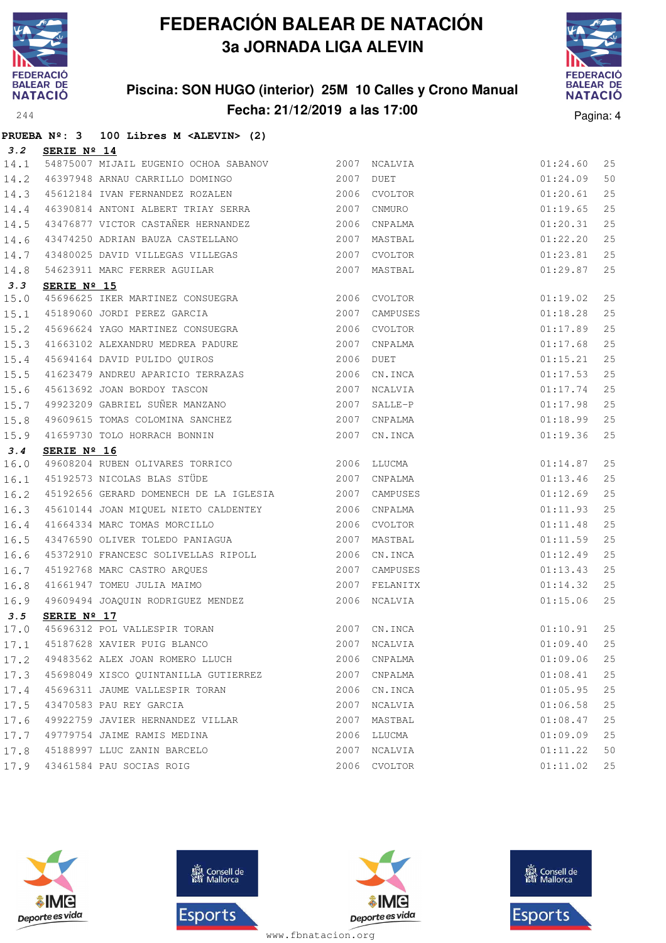

**PRUEBA Nº: 3 100 Libres M <ALEVIN> (2)**

# **FEDERACIÓN BALEAR DE NATACIÓN 3a JORNADA LIGA ALEVIN**

### **Piscina: SON HUGO (interior) 25M 10 Calles y Crono Manual Fecha: 21/12/2019 a las 17:00** Pagina: 4



| 3.2  | SERIE Nº 14                                                                                                                     |      |              |          |    |
|------|---------------------------------------------------------------------------------------------------------------------------------|------|--------------|----------|----|
| 14.1 | 54875007 MIJAIL EUGENIO OCHOA SABANOV 2007 NCALVIA                                                                              |      |              | 01:24.60 | 25 |
| 14.2 | 46397948 ARNAU CARRILLO DOMINGO 2007                                                                                            |      | DUET         | 01:24.09 | 50 |
| 14.3 | 45612184 IVAN FERNANDEZ ROZALEN 2006 CVOLTOR                                                                                    |      |              | 01:20.61 | 25 |
| 14.4 | 46390814 ANTONI ALBERT TRIAY SERRA 2007 CNMURO                                                                                  |      |              | 01:19.65 | 25 |
| 14.5 | 43476877 VICTOR CASTAÑER HERNANDEZ 2006 CNPALMA                                                                                 |      |              | 01:20.31 | 25 |
| 14.6 |                                                                                                                                 |      |              | 01:22.20 | 25 |
| 14.7 | 43480025 DAVID VILLEGAS VILLEGAS 2007 CVOLTOR                                                                                   |      |              | 01:23.81 | 25 |
| 14.8 | 54623911 MARC FERRER AGUILAR                                                                                                    |      | 2007 MASTBAL | 01:29.87 | 25 |
| 3.3  | SERIE Nº 15                                                                                                                     |      |              |          |    |
| 15.0 |                                                                                                                                 |      |              | 01:19.02 | 25 |
| 15.1 |                                                                                                                                 |      |              | 01:18.28 | 25 |
| 15.2 |                                                                                                                                 |      |              | 01:17.89 | 25 |
| 15.3 |                                                                                                                                 |      |              | 01:17.68 | 25 |
| 15.4 |                                                                                                                                 |      |              | 01:15.21 | 25 |
| 15.5 | 41623479 ANDREU APARICIO TERRAZAS 2006 CN.INCA                                                                                  |      |              | 01:17.53 | 25 |
| 15.6 | 45613692 JOAN BORDOY TASCON                                                                                                     | 2007 | NCALVIA      | 01:17.74 | 25 |
| 15.7 | 49923209 GABRIEL SUÑER MANZANO 2007                                                                                             |      | SALLE-P      | 01:17.98 | 25 |
| 15.8 | 49609615 TOMAS COLOMINA SANCHEZ 2007 CNPALMA                                                                                    |      |              | 01:18.99 | 25 |
| 15.9 | 41659730 TOLO HORRACH BONNIN 2007 CN.INCA                                                                                       |      |              | 01:19.36 | 25 |
| 3.4  | SERIE Nº 16                                                                                                                     |      |              |          |    |
| 16.0 | 49608204 RUBEN OLIVARES TORRICO<br>45192573 NICOLAS BLAS STÜDE 1988 1989 2007 CNPALMA                                           |      |              | 01:14.87 | 25 |
| 16.1 |                                                                                                                                 |      |              | 01:13.46 | 25 |
| 16.2 | 45192656 GERARD DOMENECH DE LA IGLESIA 2007 CAMPUSES                                                                            |      |              | 01:12.69 | 25 |
| 16.3 | 45610144 JOAN MIQUEL NIETO CALDENTEY 2006 CNPALMA                                                                               |      |              | 01:11.93 | 25 |
| 16.4 | 41664334 MARC TOMAS MORCILLO 2006 CVOLTOR                                                                                       |      |              | 01:11.48 | 25 |
| 16.5 | 43476590 OLIVER TOLEDO PANIAGUA (2007 MASTBAL                                                                                   |      |              | 01:11.59 | 25 |
| 16.6 | 45372910 FRANCESC SOLIVELLAS RIPOLL 2006 CN.INCA                                                                                |      |              | 01:12.49 | 25 |
| 16.7 |                                                                                                                                 |      |              | 01:13.43 | 25 |
| 16.8 | 45192768 MARC CASTRO ARQUES<br>41661947 TOMEU JULIA MAIMO<br>40600404 TOACUTUS TAR                                              |      |              | 01:14.32 | 25 |
| 16.9 | 49609494 JOAQUIN RODRIGUEZ MENDEZ                                                                                               |      | 2006 NCALVIA | 01:15.06 | 25 |
| 3.5  | SERIE Nº 17                                                                                                                     |      |              |          |    |
|      | 17.0 45696312 POL VALLESPIR TORAN 2007 CN.INCA 2007 CN.INCA 25<br>17.1 45187628 XAVIER PUIG BLANCO 2007 NOALVIA 2007 CN.INCA 25 |      |              |          |    |
|      |                                                                                                                                 |      |              |          |    |
|      | 17.2 49483562 ALEX JOAN ROMERO LLUCH                                                                                            |      | 2006 CNPALMA | 01:09.06 | 25 |
|      | $17.3$ 45698049 XISCO QUINTANILLA GUTIERREZ 2007 CNPALMA                                                                        |      |              | 01:08.41 | 25 |
| 17.4 | 45696311 JAUME VALLESPIR TORAN                                                                                                  |      | 2006 CN.INCA | 01:05.95 | 25 |
| 17.5 | 43470583 PAU REY GARCIA                                                                                                         | 2007 | NCALVIA      | 01:06.58 | 25 |
| 17.6 | 49922759 JAVIER HERNANDEZ VILLAR                                                                                                |      | 2007 MASTBAL | 01:08.47 | 25 |
| 17.7 | 49779754 JAIME RAMIS MEDINA                                                                                                     |      | 2006 LLUCMA  | 01:09.09 | 25 |
|      | 17.8 45188997 LLUC ZANIN BARCELO                                                                                                |      | 2007 NCALVIA | 01:11.22 | 50 |
|      | 17.9 43461584 PAU SOCIAS ROIG                                                                                                   |      | 2006 CVOLTOR | 01:11.02 | 25 |







**感** Consell de Esports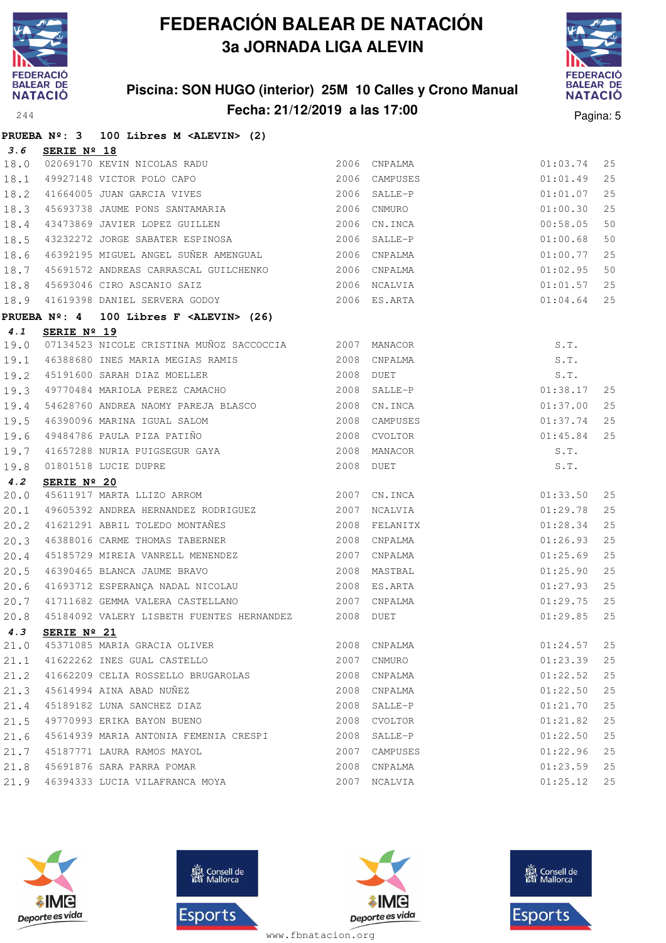

### **Piscina: SON HUGO (interior) 25M 10 Calles y Crono Manual Fecha: 21/12/2019 a las 17:00** Pagina: 5



|              |             | PRUEBA Nº: 3 100 Libres M <alevin> (2)</alevin>                                                                                                                                                              |           |                                                  |          |    |
|--------------|-------------|--------------------------------------------------------------------------------------------------------------------------------------------------------------------------------------------------------------|-----------|--------------------------------------------------|----------|----|
| 3.6          | SERIE Nº 18 |                                                                                                                                                                                                              |           |                                                  |          |    |
| 18.0         |             | 02069170 KEVIN NICOLAS RADU<br>49927148 VICTOR POLO CAPO<br>41664005 JUAN GARCIA VIVES                                                                                                                       |           | 2006 CNPALMA                                     | 01:03.74 | 25 |
| 18.1         |             |                                                                                                                                                                                                              |           | 2006 CAMPUSES                                    | 01:01.49 | 25 |
| 18.2         |             |                                                                                                                                                                                                              |           | $2006$ SALLE-P                                   | 01:01.07 | 25 |
|              |             | 18.3 45693738 JAUME PONS SANTAMARIA                                                                                                                                                                          |           | 2006 CNMURO                                      | 01:00.30 | 25 |
| 18.4         |             | 43473869 JAVIER LOPEZ GUILLEN                                                                                                                                                                                |           | 2006 CN.INCA                                     | 00:58.05 | 50 |
| 18.5         |             | 43232272 JORGE SABATER ESPINOSA 2006 SALLE-P                                                                                                                                                                 |           |                                                  | 01:00.68 | 50 |
| 18.6         |             | 46392195 MIGUEL ANGEL SUÑER AMENGUAL 2006 CNPALMA                                                                                                                                                            |           |                                                  | 01:00.77 | 25 |
| 18.7         |             | 45691572 ANDREAS CARRASCAL GUILCHENKO 2006 CNPALMA<br>45693046 CIRO ASCANIO SAIZ 2006 NCALVIA                                                                                                                |           |                                                  | 01:02.95 | 50 |
| 18.8         |             | 45693046 CIRO ASCANIO SAIZ                                                                                                                                                                                   |           |                                                  | 01:01.57 | 25 |
| 18.9         |             | 41619398 DANIEL SERVERA GODOY 2006 ES.ARTA                                                                                                                                                                   |           |                                                  | 01:04.64 | 25 |
|              |             | PRUEBA Nº: 4 100 Libres F <alevin> (26)</alevin>                                                                                                                                                             |           |                                                  |          |    |
| 4.1          | SERIE Nº 19 |                                                                                                                                                                                                              |           | S.T.<br>S.T.<br>S.T.<br>S.T.<br>01:38.<br>01:37. |          |    |
|              |             | 19.0 07134523 NICOLE CRISTINA MUÑOZ SACCOCCIA 2007 MANACOR                                                                                                                                                   |           |                                                  |          |    |
| 19.1         |             | 46388680 INES MARIA MEGIAS RAMIS 2008                                                                                                                                                                        |           | CNPALMA                                          |          |    |
|              |             | $\begin{array}{cccc} \boxed{19.2} & 45191600 & \text{SARAH DIAZ MOELLER} & & & & & 2008 & \text{DUET} \\ \boxed{19.3} & 49770484 & \text{MARIOLA PEREZ CAMACHO} & & & & & 2008 & \text{SALLE-P} \end{array}$ |           |                                                  | 01:38.17 | 25 |
| 19.4         |             |                                                                                                                                                                                                              |           |                                                  | 01:37.00 | 25 |
|              |             | 54628760 ANDREA NAOMY PAREJA BLASCO 2008 CN.INCA                                                                                                                                                             | 2008      |                                                  | 01:37.74 | 25 |
| 19.5<br>19.6 |             | 46390096 MARINA IGUAL SALOM<br>49484786 PAULA PIZA PATIÑO<br>41657288 NURIA PUIGSEGUR GAYA<br>01801518 LUCIE DUPRE                                                                                           | 2008      | CAMPUSES                                         | 01:45.84 | 25 |
| 19.7         |             |                                                                                                                                                                                                              | 2008      | CVOLTOR                                          | S.T.     |    |
| 19.8         |             |                                                                                                                                                                                                              | 2008 DUET | MANACOR                                          | S.T.     |    |
| 4.2          | SERIE Nº 20 |                                                                                                                                                                                                              |           |                                                  |          |    |
| 20.0         |             | 45611917 MARTA LLIZO ARROM 2007                                                                                                                                                                              |           | CN.INCA                                          | 01:33.50 | 25 |
| 20.1         |             | 49605392 ANDREA HERNANDEZ RODRIGUEZ 2007                                                                                                                                                                     |           | NCALVIA                                          | 01:29.78 | 25 |
| 20.2         |             | 41621291 ABRIL TOLEDO MONTAÑES<br>46388016 CARME THOMAS TABERNER                                                                                                                                             |           | 2008 FELANITX                                    | 01:28.34 | 25 |
| 20.3         |             |                                                                                                                                                                                                              | 2008      | CNPALMA                                          | 01:26.93 | 25 |
| 20.4         |             | 45185729 MIREIA VANRELL MENENDEZ                                                                                                                                                                             | 2007      | CNPALMA                                          | 01:25.69 | 25 |
| 20.5         |             |                                                                                                                                                                                                              |           |                                                  | 01:25.90 | 25 |
| 20.6         |             |                                                                                                                                                                                                              |           |                                                  | 01:27.93 | 25 |
| 20.7         |             |                                                                                                                                                                                                              |           |                                                  | 01:29.75 | 25 |
| 20.8         |             | 45184092 VALERY LISBETH FUENTES HERNANDEZ 2008 DUET                                                                                                                                                          |           |                                                  | 01:29.85 | 25 |
| 4.3          |             | SERIE $N^{\circ}$ 21                                                                                                                                                                                         |           |                                                  |          |    |
|              |             | 21.0 45371085 MARIA GRACIA OLIVER                                                                                                                                                                            |           | 2008 CNPALMA                                     | 01:24.57 | 25 |
|              |             | 21.1 41622262 INES GUAL CASTELLO                                                                                                                                                                             |           | 2007 CNMURO                                      | 01:23.39 | 25 |
|              |             | 21.2 41662209 CELIA ROSSELLO BRUGAROLAS                                                                                                                                                                      |           | 2008 CNPALMA                                     | 01:22.52 | 25 |
|              |             | 21.3 45614994 AINA ABAD NUÑEZ                                                                                                                                                                                |           | 2008 CNPALMA                                     | 01:22.50 | 25 |
| 21.4         |             | 45189182 LUNA SANCHEZ DIAZ                                                                                                                                                                                   | 2008      | SALLE-P                                          | 01:21.70 | 25 |
|              |             | 21.5 49770993 ERIKA BAYON BUENO                                                                                                                                                                              | 2008      | CVOLTOR                                          | 01:21.82 | 25 |
|              |             | 21.6 45614939 MARIA ANTONIA FEMENIA CRESPI                                                                                                                                                                   | 2008      | SALLE-P                                          | 01:22.50 | 25 |
|              |             | 21.7 45187771 LAURA RAMOS MAYOL                                                                                                                                                                              |           | 2007 CAMPUSES                                    | 01:22.96 | 25 |
|              |             | 21.8 45691876 SARA PARRA POMAR                                                                                                                                                                               |           | 2008 CNPALMA                                     | 01:23.59 | 25 |
|              |             | 21.9 46394333 LUCIA VILAFRANCA MOYA                                                                                                                                                                          |           | 2007 NCALVIA                                     | 01:25.12 | 25 |







**感** Consell de Esports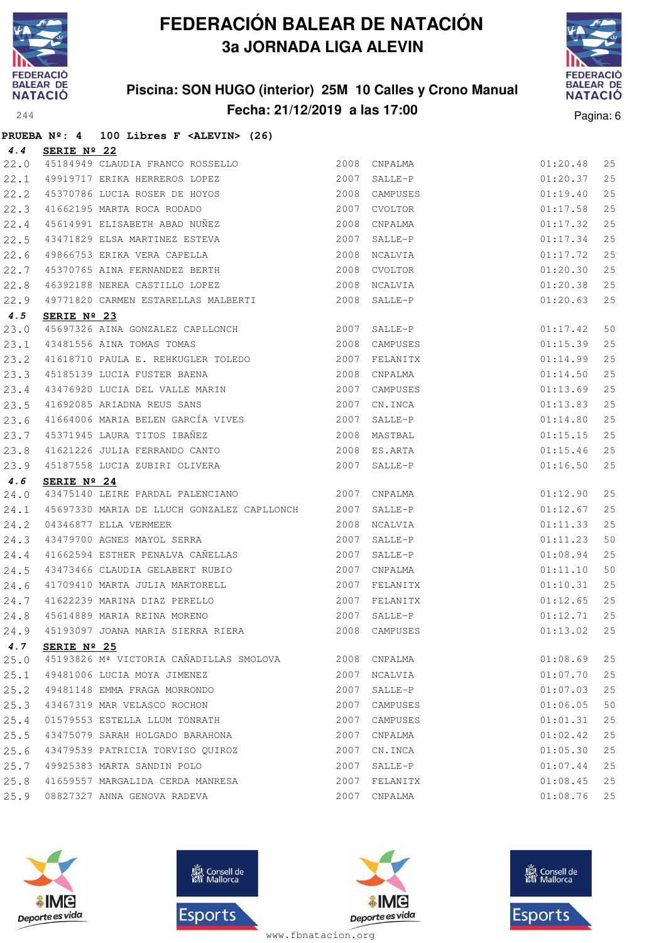

**PRUEBA Nº: 4 100 Libres F <ALEVIN> (26)**

# **FEDERACIÓN BALEAR DE NATACIÓN 3a JORNADA LIGA ALEVIN**

### **Piscina: SON HUGO (interior) 25M 10 Calles y Crono Manual Fecha: 21/12/2019 a las 17:00** Pagina: 6



| 4.4  | SERIE Nº 22                                                                                                                                                              |      |               |          |    |
|------|--------------------------------------------------------------------------------------------------------------------------------------------------------------------------|------|---------------|----------|----|
| 22.0 | 45184949 CLAUDIA FRANCO ROSSELLO                                                                                                                                         |      | 2008 CNPALMA  | 01:20.48 | 25 |
| 22.1 | 49919717 ERIKA HERREROS LOPEZ                                                                                                                                            | 2007 | SALLE-P       | 01:20.37 | 25 |
| 22.2 |                                                                                                                                                                          |      | 2008 CAMPUSES | 01:19.40 | 25 |
| 22.3 |                                                                                                                                                                          | 2007 | CVOLTOR       | 01:17.58 | 25 |
| 22.4 |                                                                                                                                                                          |      | 2008 CNPALMA  | 01:17.32 | 25 |
| 22.5 | 45370786 LUCIA ROSER DE HOYOS<br>41662195 MARTA ROCA RODADO<br>45614991 ELISABETH ABAD NUÑEZ<br>43471829 ELSA MARTINEZ ESTEVA                                            | 2007 | SALLE-P       | 01:17.34 | 25 |
| 22.6 | 49866753 ERIKA VERA CAPELLA                                                                                                                                              | 2008 | NCALVIA       | 01:17.72 | 25 |
| 22.7 | 45370765 AINA FERNANDEZ BERTH                                                                                                                                            | 2008 | CVOLTOR       | 01:20.30 | 25 |
| 22.8 | 46392188 NEREA CASTILLO LOPEZ                                                                                                                                            |      | 2008 NCALVIA  | 01:20.38 | 25 |
| 22.9 | 49771820 CARMEN ESTARELLAS MALBERTI 2008 SALLE-P                                                                                                                         |      |               | 01:20.63 | 25 |
| 4.5  | SERIE Nº 23                                                                                                                                                              |      |               |          |    |
| 23.0 | 45697326 AINA GONZALEZ CAPLLONCH 2007 SALLE-P                                                                                                                            |      |               | 01:17.42 | 50 |
| 23.1 | 1999<br>1998 GAMPUSES<br>1999 1999 1999<br>1998 1999 1999 1999<br>2007 FELANITX                                                                                          |      |               | 01:15.39 | 25 |
| 23.2 |                                                                                                                                                                          |      |               | 01:14.99 | 25 |
| 23.3 | 45185139 LUCIA FUSTER BAENA                                                                                                                                              | 2008 | CNPALMA       | 01:14.50 | 25 |
| 23.4 | 43476920 LUCIA DEL VALLE MARIN                                                                                                                                           | 2007 | CAMPUSES      | 01:13.69 | 25 |
| 23.5 | 41692085 ARIADNA REUS SANS                                                                                                                                               |      | 2007 CN.INCA  | 01:13.83 | 25 |
| 23.6 | 41664006 MARIA BELEN GARCÍA VIVES 2007                                                                                                                                   |      | SALLE-P       | 01:14.80 | 25 |
| 23.7 |                                                                                                                                                                          |      |               | 01:15.15 | 25 |
| 23.8 |                                                                                                                                                                          |      |               | 01:15.46 | 25 |
| 23.9 | 11004000 MARIN DELER SERVICE (1999)<br>45371945 LAURA TITOS IBAÑEZ (2008 MASTBAL 41621226 JULIA FERRANDO CANTO (2008 ES.ARTA 45187558 LUCIA ZUBIRI OLIVERA (2007 SALLE-P |      |               | 01:16.50 | 25 |
| 4.6  | SERIE Nº 24                                                                                                                                                              |      |               |          |    |
| 24.0 |                                                                                                                                                                          |      |               | 01:12.90 | 25 |
| 24.1 | 45697330 MARIA DE LLUCH GONZALEZ CAPLLONCH 2007 SALLE-P                                                                                                                  |      |               | 01:12.67 | 25 |
| 24.2 | 04346877 ELLA VERMEER<br>43479700 AGNES MAYOL SERRA                                                                                                                      |      | 2008 NCALVIA  | 01:11.33 | 25 |
| 24.3 |                                                                                                                                                                          | 2007 | SALLE-P       | 01:11.23 | 50 |
| 24.4 | 41662594 ESTHER PENALVA CAÑELLAS                                                                                                                                         | 2007 | SALLE-P       | 01:08.94 | 25 |
| 24.5 | 43473466 CLAUDIA GELABERT RUBIO                                                                                                                                          | 2007 | CNPALMA       | 01:11.10 | 50 |
| 24.6 |                                                                                                                                                                          |      | 2007 FELANITX | 01:10.31 | 25 |
| 24.7 |                                                                                                                                                                          |      | 2007 FELANITX | 01:12.65 | 25 |
| 24.8 | 41709410 MARTA JULIA MARTORELL<br>41622239 MARINA DIAZ PERELLO<br>45614889 MARIA REINA MORENO<br>45100007 TOILL LUT                                                      | 2007 | SALLE-P       | 01:12.71 | 25 |
| 24.9 | 45193097 JOANA MARIA SIERRA RIERA                                                                                                                                        |      | 2008 CAMPUSES | 01:13.02 | 25 |
|      | 4.7 SERIE Nº 25                                                                                                                                                          |      |               |          |    |
| 25.0 | 45193826 Mª VICTORIA CAÑADILLAS SMOLOVA                                                                                                                                  |      | 2008 CNPALMA  | 01:08.69 | 25 |
| 25.1 | 49481006 LUCIA MOYA JIMENEZ                                                                                                                                              |      | 2007 NCALVIA  | 01:07.70 | 25 |
| 25.2 | 49481148 EMMA FRAGA MORRONDO                                                                                                                                             | 2007 | SALLE-P       | 01:07.03 | 25 |
| 25.3 | 43467319 MAR VELASCO ROCHON                                                                                                                                              | 2007 | CAMPUSES      | 01:06.05 | 50 |
| 25.4 | 01579553 ESTELLA LLUM TONRATH                                                                                                                                            | 2007 | CAMPUSES      | 01:01.31 | 25 |
| 25.5 | 43475079 SARAH HOLGADO BARAHONA                                                                                                                                          | 2007 | CNPALMA       | 01:02.42 | 25 |
| 25.6 | 43479539 PATRICIA TORVISO QUIROZ                                                                                                                                         | 2007 | CN.INCA       | 01:05.30 | 25 |
| 25.7 | 49925383 MARTA SANDIN POLO                                                                                                                                               | 2007 | SALLE-P       | 01:07.44 | 25 |
|      |                                                                                                                                                                          |      |               |          |    |
| 25.8 | 41659557 MARGALIDA CERDA MANRESA                                                                                                                                         |      | 2007 FELANITX | 01:08.45 | 25 |







**感** Consell de Esports